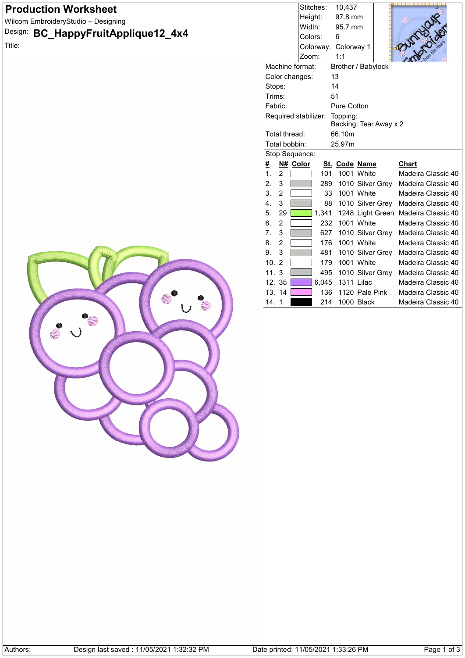| <b>Production Worksheet</b>                          |                                     | Stitches:            | 10,437                         |                                          |
|------------------------------------------------------|-------------------------------------|----------------------|--------------------------------|------------------------------------------|
| Wilcom EmbroideryStudio - Designing                  |                                     | Height:<br>Width:    | 97.8 mm<br>95.7 mm             |                                          |
| Design:<br>BC_HappyFruitApplique12_4x4               |                                     | Colors:              | 6                              |                                          |
| Title:                                               |                                     | Colorway: Colorway 1 |                                |                                          |
|                                                      |                                     | Zoom:                | 1:1                            |                                          |
|                                                      | Machine format:                     |                      | Brother / Babylock             |                                          |
|                                                      | Color changes:                      | 13                   |                                |                                          |
|                                                      | Stops:                              | 14                   |                                |                                          |
|                                                      | Trims:                              | 51                   |                                |                                          |
|                                                      | Fabric:<br>Required stabilizer:     |                      | Pure Cotton<br>Topping:        |                                          |
|                                                      |                                     |                      | Backing: Tear Away x 2         |                                          |
|                                                      | Total thread:                       |                      | 66.10m                         |                                          |
|                                                      | Total bobbin:                       |                      | 25.97m                         |                                          |
|                                                      | Stop Sequence:                      |                      |                                |                                          |
|                                                      | N# Color<br>∦                       |                      | St. Code Name                  | <b>Chart</b>                             |
|                                                      | 1.<br>$\sqrt{2}$                    | 101                  | 1001 White                     | Madeira Classic 40                       |
|                                                      | 2.<br>3<br>3.                       | 289<br>33            | 1010 Silver Grey<br>1001 White | Madeira Classic 40<br>Madeira Classic 40 |
|                                                      | $\overline{\mathbf{c}}$<br>4.<br>3  | 88                   | 1010 Silver Grey               | Madeira Classic 40                       |
|                                                      | 5.<br>29                            | 1,341                |                                | 1248 Light Green Madeira Classic 40      |
|                                                      | 6.<br>$\sqrt{2}$                    | 232                  | 1001 White                     | Madeira Classic 40                       |
|                                                      | 7.<br>$\sqrt{3}$                    | 627                  | 1010 Silver Grey               | Madeira Classic 40                       |
|                                                      | 8.<br>$\overline{2}$                | 176                  | 1001 White                     | Madeira Classic 40                       |
|                                                      | 9.<br>3                             | 481                  | 1010 Silver Grey               | Madeira Classic 40                       |
|                                                      | 10.<br>$\overline{2}$               | 179                  | 1001 White                     | Madeira Classic 40                       |
|                                                      | 11.3                                | 495                  | 1010 Silver Grey               | Madeira Classic 40                       |
|                                                      | 12. 35                              | 6,045                | 1311 Lilac                     | Madeira Classic 40                       |
|                                                      | 13. 14                              | 136<br>214           | 1120 Pale Pink<br>1000 Black   | Madeira Classic 40                       |
|                                                      | 14.1                                |                      |                                | Madeira Classic 40                       |
|                                                      |                                     |                      |                                |                                          |
|                                                      |                                     |                      |                                |                                          |
|                                                      |                                     |                      |                                |                                          |
|                                                      |                                     |                      |                                |                                          |
|                                                      |                                     |                      |                                |                                          |
|                                                      |                                     |                      |                                |                                          |
|                                                      |                                     |                      |                                |                                          |
|                                                      |                                     |                      |                                |                                          |
|                                                      |                                     |                      |                                |                                          |
|                                                      |                                     |                      |                                |                                          |
|                                                      |                                     |                      |                                |                                          |
|                                                      |                                     |                      |                                |                                          |
|                                                      |                                     |                      |                                |                                          |
|                                                      |                                     |                      |                                |                                          |
|                                                      |                                     |                      |                                |                                          |
|                                                      |                                     |                      |                                |                                          |
|                                                      |                                     |                      |                                |                                          |
|                                                      |                                     |                      |                                |                                          |
|                                                      |                                     |                      |                                |                                          |
|                                                      |                                     |                      |                                |                                          |
|                                                      |                                     |                      |                                |                                          |
|                                                      |                                     |                      |                                |                                          |
|                                                      |                                     |                      |                                |                                          |
| Design last saved: 11/05/2021 1:32:32 PM<br>Authors: | Date printed: 11/05/2021 1:33:26 PM |                      |                                | Page 1 of 3                              |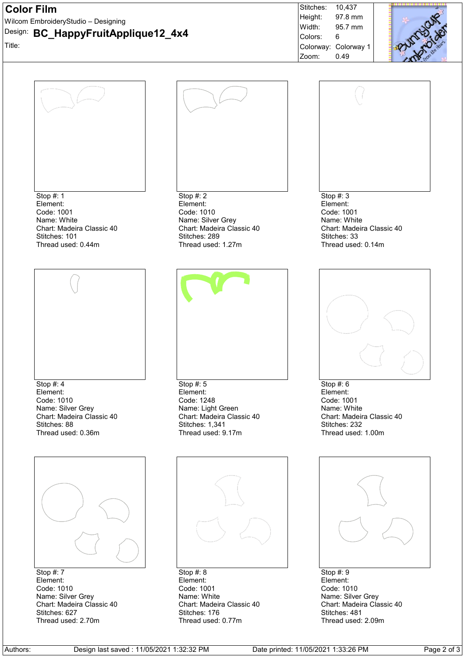